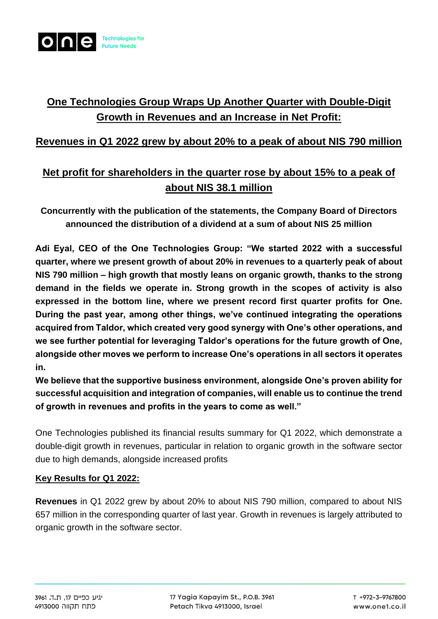

# **One Technologies Group Wraps Up Another Quarter with Double-Digit Growth in Revenues and an Increase in Net Profit:**

### **Revenues in Q1 2022 grew by about 20% to a peak of about NIS 790 million**

## **Net profit for shareholders in the quarter rose by about 15% to a peak of about NIS 38.1 million**

**Concurrently with the publication of the statements, the Company Board of Directors announced the distribution of a dividend at a sum of about NIS 25 million**

**Adi Eyal, CEO of the One Technologies Group: "We started 2022 with a successful quarter, where we present growth of about 20% in revenues to a quarterly peak of about NIS 790 million – high growth that mostly leans on organic growth, thanks to the strong demand in the fields we operate in. Strong growth in the scopes of activity is also expressed in the bottom line, where we present record first quarter profits for One. During the past year, among other things, we've continued integrating the operations acquired from Taldor, which created very good synergy with One's other operations, and we see further potential for leveraging Taldor's operations for the future growth of One, alongside other moves we perform to increase One's operations in all sectors it operates in.**

**We believe that the supportive business environment, alongside One's proven ability for successful acquisition and integration of companies, will enable us to continue the trend of growth in revenues and profits in the years to come as well."**

One Technologies published its financial results summary for Q1 2022, which demonstrate a double-digit growth in revenues, particular in relation to organic growth in the software sector due to high demands, alongside increased profits

### **Key Results for Q1 2022:**

**Revenues** in Q1 2022 grew by about 20% to about NIS 790 million, compared to about NIS 657 million in the corresponding quarter of last year. Growth in revenues is largely attributed to organic growth in the software sector.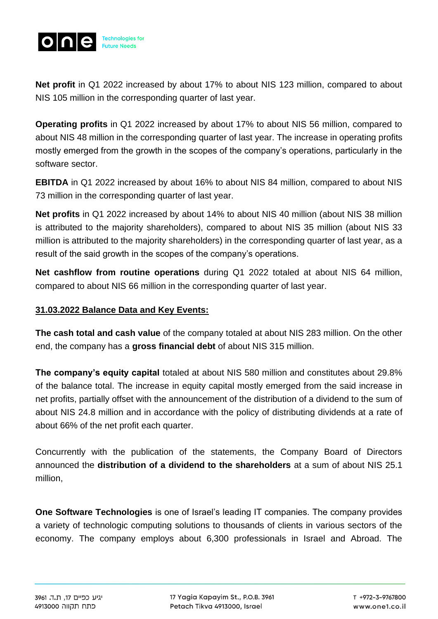

**Net profit** in Q1 2022 increased by about 17% to about NIS 123 million, compared to about NIS 105 million in the corresponding quarter of last year.

**Operating profits** in Q1 2022 increased by about 17% to about NIS 56 million, compared to about NIS 48 million in the corresponding quarter of last year. The increase in operating profits mostly emerged from the growth in the scopes of the company's operations, particularly in the software sector.

**EBITDA** in Q1 2022 increased by about 16% to about NIS 84 million, compared to about NIS 73 million in the corresponding quarter of last year.

**Net profits** in Q1 2022 increased by about 14% to about NIS 40 million (about NIS 38 million is attributed to the majority shareholders), compared to about NIS 35 million (about NIS 33 million is attributed to the majority shareholders) in the corresponding quarter of last year, as a result of the said growth in the scopes of the company's operations.

**Net cashflow from routine operations** during Q1 2022 totaled at about NIS 64 million, compared to about NIS 66 million in the corresponding quarter of last year.

### **31.03.2022 Balance Data and Key Events:**

**The cash total and cash value** of the company totaled at about NIS 283 million. On the other end, the company has a **gross financial debt** of about NIS 315 million.

**The company's equity capital** totaled at about NIS 580 million and constitutes about 29.8% of the balance total. The increase in equity capital mostly emerged from the said increase in net profits, partially offset with the announcement of the distribution of a dividend to the sum of about NIS 24.8 million and in accordance with the policy of distributing dividends at a rate of about 66% of the net profit each quarter.

Concurrently with the publication of the statements, the Company Board of Directors announced the **distribution of a dividend to the shareholders** at a sum of about NIS 25.1 million,

**One Software Technologies** is one of Israel's leading IT companies. The company provides a variety of technologic computing solutions to thousands of clients in various sectors of the economy. The company employs about 6,300 professionals in Israel and Abroad. The